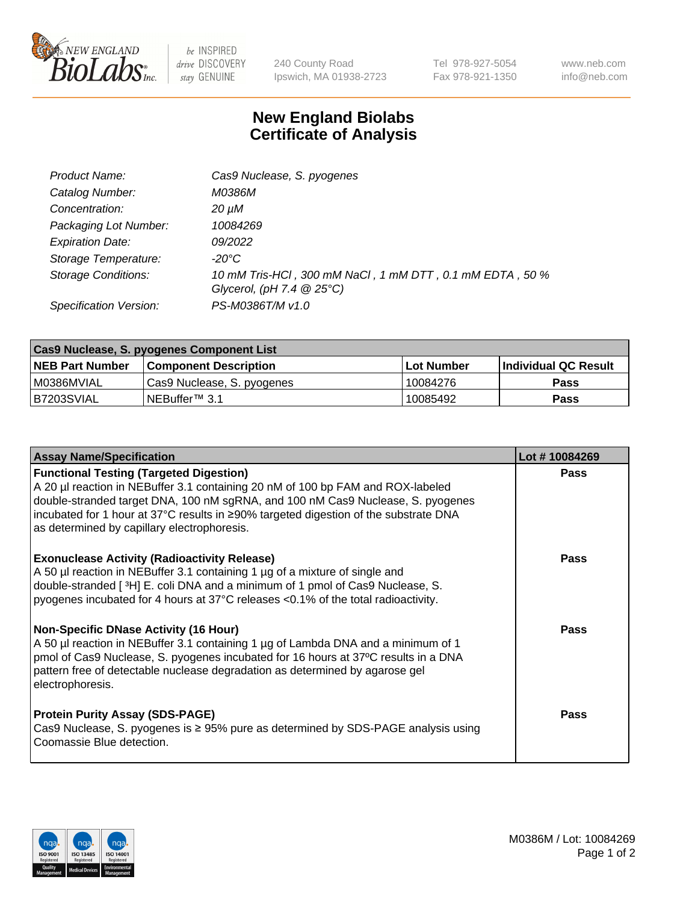

 $be$  INSPIRED drive DISCOVERY stay GENUINE

240 County Road Ipswich, MA 01938-2723 Tel 978-927-5054 Fax 978-921-1350 www.neb.com info@neb.com

## **New England Biolabs Certificate of Analysis**

| Product Name:              | Cas9 Nuclease, S. pyogenes                               |
|----------------------------|----------------------------------------------------------|
| Catalog Number:            | M0386M                                                   |
| Concentration:             | 20 µM                                                    |
| Packaging Lot Number:      | 10084269                                                 |
| <b>Expiration Date:</b>    | 09/2022                                                  |
| Storage Temperature:       | -20°C                                                    |
| <b>Storage Conditions:</b> | 10 mM Tris-HCl, 300 mM NaCl, 1 mM DTT, 0.1 mM EDTA, 50 % |
|                            | Glycerol, (pH 7.4 $@25°C$ )                              |
| Specification Version:     | PS-M0386T/M v1.0                                         |

| <b>Cas9 Nuclease, S. pyogenes Component List</b> |                              |                   |                      |  |  |
|--------------------------------------------------|------------------------------|-------------------|----------------------|--|--|
| <b>NEB Part Number</b>                           | <b>Component Description</b> | <b>Lot Number</b> | Individual QC Result |  |  |
| I M0386MVIAL                                     | Cas9 Nuclease, S. pyogenes   | 10084276          | <b>Pass</b>          |  |  |
| B7203SVIAL                                       | INEBuffer™ 3.1               | 10085492          | <b>Pass</b>          |  |  |

| <b>Assay Name/Specification</b>                                                                                                                                                                                                                                                                                                                             | Lot #10084269 |
|-------------------------------------------------------------------------------------------------------------------------------------------------------------------------------------------------------------------------------------------------------------------------------------------------------------------------------------------------------------|---------------|
| <b>Functional Testing (Targeted Digestion)</b><br>A 20 µl reaction in NEBuffer 3.1 containing 20 nM of 100 bp FAM and ROX-labeled<br>double-stranded target DNA, 100 nM sgRNA, and 100 nM Cas9 Nuclease, S. pyogenes<br>incubated for 1 hour at 37°C results in ≥90% targeted digestion of the substrate DNA<br>as determined by capillary electrophoresis. | <b>Pass</b>   |
| <b>Exonuclease Activity (Radioactivity Release)</b><br>A 50 µl reaction in NEBuffer 3.1 containing 1 µg of a mixture of single and<br>double-stranded [3H] E. coli DNA and a minimum of 1 pmol of Cas9 Nuclease, S.<br>pyogenes incubated for 4 hours at 37°C releases <0.1% of the total radioactivity.                                                    | <b>Pass</b>   |
| <b>Non-Specific DNase Activity (16 Hour)</b><br>A 50 µl reaction in NEBuffer 3.1 containing 1 µg of Lambda DNA and a minimum of 1<br>pmol of Cas9 Nuclease, S. pyogenes incubated for 16 hours at 37°C results in a DNA<br>pattern free of detectable nuclease degradation as determined by agarose gel<br>electrophoresis.                                 | <b>Pass</b>   |
| <b>Protein Purity Assay (SDS-PAGE)</b><br>Cas9 Nuclease, S. pyogenes is $\geq$ 95% pure as determined by SDS-PAGE analysis using<br>Coomassie Blue detection.                                                                                                                                                                                               | <b>Pass</b>   |